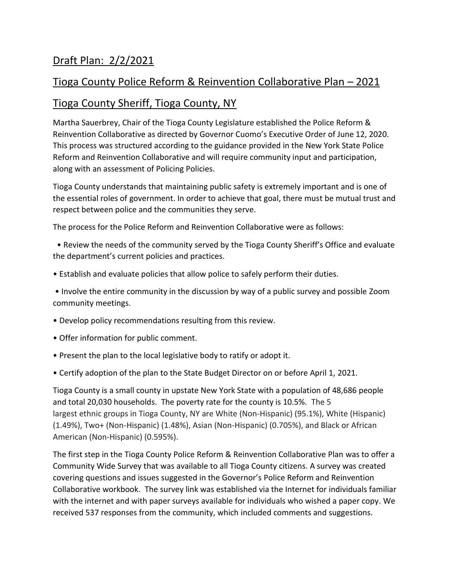# Draft Plan: 2/2/2021

## Tioga County Police Reform & Reinvention Collaborative Plan – 2021

### Tioga County Sheriff, Tioga County, NY

Martha Sauerbrey, Chair of the Tioga County Legislature established the Police Reform & Reinvention Collaborative as directed by Governor Cuomo's Executive Order of June 12, 2020. This process was structured according to the guidance provided in the New York State Police Reform and Reinvention Collaborative and will require community input and participation, along with an assessment of Policing Policies.

Tioga County understands that maintaining public safety is extremely important and is one of the essential roles of government. In order to achieve that goal, there must be mutual trust and respect between police and the communities they serve.

The process for the Police Reform and Reinvention Collaborative were as follows:

 • Review the needs of the community served by the Tioga County Sheriff's Office and evaluate the department's current policies and practices.

• Establish and evaluate policies that allow police to safely perform their duties.

• Involve the entire community in the discussion by way of a public survey and possible Zoom community meetings.

- Develop policy recommendations resulting from this review.
- Offer information for public comment.
- Present the plan to the local legislative body to ratify or adopt it.
- Certify adoption of the plan to the State Budget Director on or before April 1, 2021.

Tioga County is a small county in upstate New York State with a population of 48,686 people and total 20,030 households. The poverty rate for the county is 10.5%. The 5 largest ethnic groups in Tioga County, NY are White (Non-Hispanic) (95.1%), White (Hispanic) (1.49%), Two+ (Non-Hispanic) (1.48%), Asian (Non-Hispanic) (0.705%), and Black or African American (Non-Hispanic) (0.595%).

The first step in the Tioga County Police Reform & Reinvention Collaborative Plan was to offer a Community Wide Survey that was available to all Tioga County citizens. A survey was created covering questions and issues suggested in the Governor's Police Reform and Reinvention Collaborative workbook. The survey link was established via the Internet for individuals familiar with the internet and with paper surveys available for individuals who wished a paper copy. We received 537 responses from the community, which included comments and suggestions.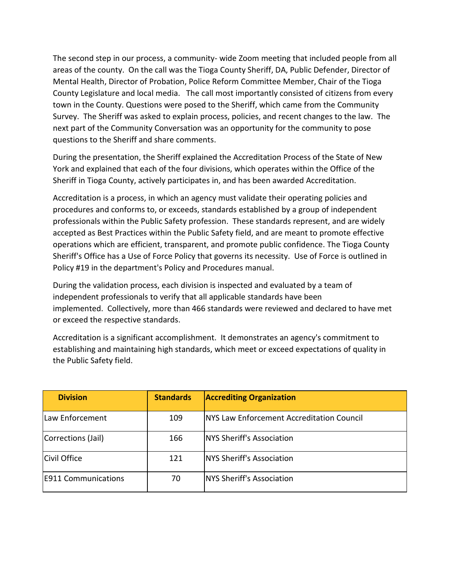The second step in our process, a community- wide Zoom meeting that included people from all areas of the county. On the call was the Tioga County Sheriff, DA, Public Defender, Director of Mental Health, Director of Probation, Police Reform Committee Member, Chair of the Tioga County Legislature and local media. The call most importantly consisted of citizens from every town in the County. Questions were posed to the Sheriff, which came from the Community Survey. The Sheriff was asked to explain process, policies, and recent changes to the law. The next part of the Community Conversation was an opportunity for the community to pose questions to the Sheriff and share comments.

During the presentation, the Sheriff explained the Accreditation Process of the State of New York and explained that each of the four divisions, which operates within the Office of the Sheriff in Tioga County, actively participates in, and has been awarded Accreditation.

Accreditation is a process, in which an agency must validate their operating policies and procedures and conforms to, or exceeds, standards established by a group of independent professionals within the Public Safety profession. These standards represent, and are widely accepted as Best Practices within the Public Safety field, and are meant to promote effective operations which are efficient, transparent, and promote public confidence. The Tioga County Sheriff's Office has a Use of Force Policy that governs its necessity. Use of Force is outlined in Policy #19 in the department's Policy and Procedures manual.

During the validation process, each division is inspected and evaluated by a team of independent professionals to verify that all applicable standards have been implemented. Collectively, more than 466 standards were reviewed and declared to have met or exceed the respective standards.

Accreditation is a significant accomplishment. It demonstrates an agency's commitment to establishing and maintaining high standards, which meet or exceed expectations of quality in the Public Safety field.

| <b>Division</b>            | <b>Standards</b> | <b>Accrediting Organization</b>                   |
|----------------------------|------------------|---------------------------------------------------|
| Law Enforcement            | 109              | <b>INYS Law Enforcement Accreditation Council</b> |
| Corrections (Jail)         | 166              | <b>NYS Sheriff's Association</b>                  |
| Civil Office               | 121              | NYS Sheriff's Association                         |
| <b>E911 Communications</b> | 70               | NYS Sheriff's Association                         |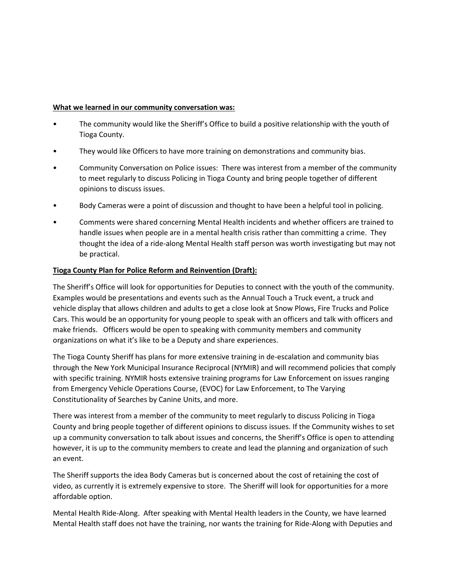#### **What we learned in our community conversation was:**

- The community would like the Sheriff's Office to build a positive relationship with the youth of Tioga County.
- They would like Officers to have more training on demonstrations and community bias.
- Community Conversation on Police issues: There was interest from a member of the community to meet regularly to discuss Policing in Tioga County and bring people together of different opinions to discuss issues.
- Body Cameras were a point of discussion and thought to have been a helpful tool in policing.
- Comments were shared concerning Mental Health incidents and whether officers are trained to handle issues when people are in a mental health crisis rather than committing a crime. They thought the idea of a ride-along Mental Health staff person was worth investigating but may not be practical.

#### **Tioga County Plan for Police Reform and Reinvention (Draft):**

The Sheriff's Office will look for opportunities for Deputies to connect with the youth of the community. Examples would be presentations and events such as the Annual Touch a Truck event, a truck and vehicle display that allows children and adults to get a close look at Snow Plows, Fire Trucks and Police Cars. This would be an opportunity for young people to speak with an officers and talk with officers and make friends. Officers would be open to speaking with community members and community organizations on what it's like to be a Deputy and share experiences.

The Tioga County Sheriff has plans for more extensive training in de-escalation and community bias through the New York Municipal Insurance Reciprocal (NYMIR) and will recommend policies that comply with specific training. NYMIR hosts extensive training programs for Law Enforcement on issues ranging from Emergency Vehicle Operations Course, (EVOC) for Law Enforcement, to The Varying Constitutionality of Searches by Canine Units, and more.

There was interest from a member of the community to meet regularly to discuss Policing in Tioga County and bring people together of different opinions to discuss issues. If the Community wishes to set up a community conversation to talk about issues and concerns, the Sheriff's Office is open to attending however, it is up to the community members to create and lead the planning and organization of such an event.

The Sheriff supports the idea Body Cameras but is concerned about the cost of retaining the cost of video, as currently it is extremely expensive to store. The Sheriff will look for opportunities for a more affordable option.

Mental Health Ride-Along. After speaking with Mental Health leaders in the County, we have learned Mental Health staff does not have the training, nor wants the training for Ride-Along with Deputies and